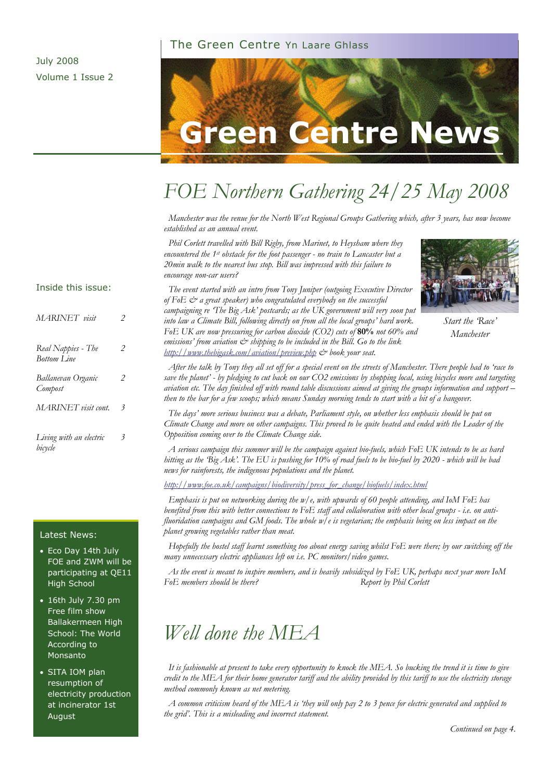#### The Green Centre Yn Laare Ghlass



# *FOE Northern Gathering 24/25 May 2008*

 *Manchester was the venue for the North West Regional Groups Gathering which, after 3 years, has now become established as an annual event.* 

*Phil Corlett travelled with Bill Rigby, from Marinet, to Heysham where they encountered the 1st obstacle for the foot passenger - no train to Lancaster but a 20min walk to the nearest bus stop. Bill was impressed with this failure to encourage non-car users?* 



*Start the 'Race' Manchester* 

 *The event started with an intro from Tony Juniper (outgoing Executive Director of FoE & a great speaker) who congratulated everybody on the successful*  campaigning re 'The Big Ask' postcards; as the UK government will very soon put *into law a Climate Bill, following directly on from all the local groups' hard work. FoE UK are now pressuring for carbon dioxide (CO2) cuts of* **80%** *not 60% and*  emissions' from aviation  $\mathcal{C}^*$  shipping to be included in the Bill. Go to the link *<http://www.thebigask.com/aviation/preview.php> & book your seat.* 

 *After the talk by Tony they all set off for a special event on the streets of Manchester. There people had to 'race to save the planet' - by pledging to cut back on our CO2 emissions by shopping local, using bicycles more and targeting aviation etc. The day finished off with round table discussions aimed at giving the groups information and support – then to the bar for a few scoops; which means Sunday morning tends to start with a bit of a hangover.* 

 *The days' more serious business was a debate, Parliament style, on whether less emphasis should be put on Climate Change and more on other campaigns. This proved to be quite heated and ended with the Leader of the Opposition coming over to the Climate Change side.* 

 *A serious campaign this summer will be the campaign against bio-fuels, which FoE UK intends to be as hard hitting as the 'Big Ask'. The EU is pushing for 10% of road fuels to be bio-fuel by 2020 - which will be bad news for rainforests, the indigenous populations and the planet.* 

*[http://www.foe.co.uk/campaigns/biodiversity/press\\_for\\_change/biofuels/index.html](http://www.foe.co.uk/campaigns/biodiversity/press_for_change/biofuels/index.html)*

 *Emphasis is put on networking during the w/e, with upwards of 60 people attending, and IoM FoE has benefited from this with better connections to FoE staff and collaboration with other local groups - i.e. on antifluoridation campaigns and GM foods. The whole w/e is vegetarian; the emphasis being on less impact on the planet growing vegetables rather than meat.* 

 *Hopefully the hostel staff learnt something too about energy saving whilst FoE were there; by our switching off the many unnecessary electric appliances left on i.e. PC monitors/video games.* 

 *As the event is meant to inspire members, and is heavily subsidized by FoE UK, perhaps next year more IoM*  FoE members should be there? <br>Report by Phil Corlett

### *Well done the MEA*

 *It is fashionable at present to take every opportunity to knock the MEA. So bucking the trend it is time to give credit to the MEA for their home generator tariff and the ability provided by this tariff to use the electricity storage method commonly known as net metering.* 

 *A common criticism heard of the MEA is 'they will only pay 2 to 3 pence for electric generated and supplied to the grid'. This is a misleading and incorrect statement.* 

#### Inside this issue:

| MARINET visit                            | 2                        |
|------------------------------------------|--------------------------|
| Real Nappies - The<br><b>Bottom</b> Line | 2                        |
| Ballanevan Organic<br>Compost            | 2                        |
| MARINET visit cont.                      | $\overline{\mathcal{E}}$ |
| Living with an electric<br>bicycle       |                          |

#### Latest News:

- Eco Day 14th July FOE and ZWM will be participating at QE11 High School
- 16th July 7.30 pm Free film show Ballakermeen High School: The World According to Monsanto
- SITA IOM plan resumption of electricity production at incinerator 1st August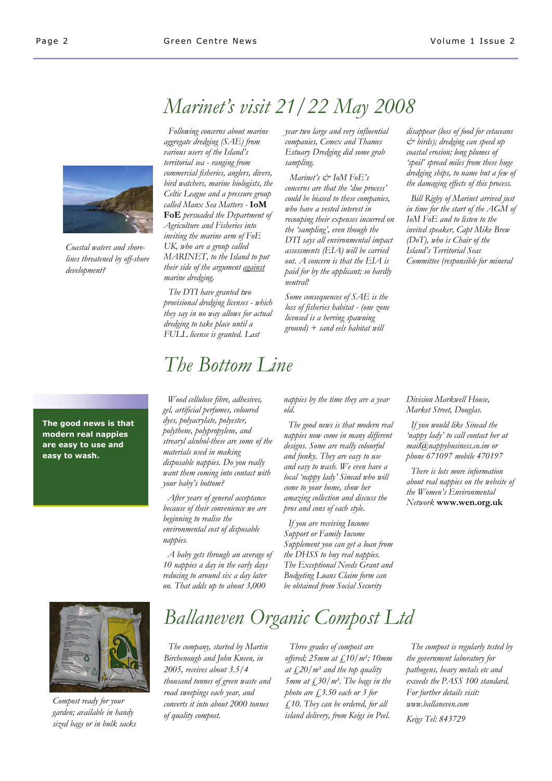

*Coastal waters and shorelines threatened by off-shore development?* 

**The good news is that modern real nappies are easy to use and easy to wash.** 

# *Marinet's visit 21/22 May 2008*

 *Following concerns about marine aggregate dredging (SAE) from various users of the Island's territorial sea - ranging from commercial fisheries, anglers, divers, bird watchers, marine biologists, the Celtic League and a pressure group called Manx Sea Matters -* **IoM FoE** *persuaded the Department of Agriculture and Fisheries into inviting the marine arm of FoE UK, who are a group called MARINET, to the Island to put their side of the argument against marine dredging.* 

 *The DTI have granted two provisional dredging licenses - which they say in no way allows for actual dredging to take place until a FULL license is granted. Last* 

*year two large and very influential companies, Cemex and Thames Estuary Dredging did some grab sampling.* 

 *Marinet's & IoM FoE's concerns are that the 'due process' could be biased to these companies, who have a vested interest in recouping their expenses incurred on the 'sampling', even though the DTI says all environmental impact assessments (EIA) will be carried out. A concern is that the EIA is paid for by the applicant; so hardly neutral!* 

*Some consequences of SAE is the loss of fisheries habitat - (one zone licensed is a herring spawning ground) + sand eels habitat will* 

*disappear (loss of food for cetaceans & birds); dredging can speed up coastal erosion; long plumes of 'spoil' spread miles from these huge dredging ships, to name but a few of the damaging effects of this process.* 

 *Bill Rigby of Marinet arrived just in time for the start of the AGM of IoM FoE and to listen to the invited speaker, Capt Mike Brew (DoT), who is Chair of the Island's Territorial Seas Committee (responsible for mineral* 

### *The Bottom Line*

 *Wood cellulose fibre, adhesives, gel, artificial perfumes, coloured dyes, polyacrylate, polyester, polythene, polypropylene, and strearyl alcohol-these are some of the materials used in making disposable nappies. Do you really want them coming into contact with your baby's bottom?* 

 *After years of general acceptance because of their convenience we are beginning to realise the environmental cost of disposable nappies.* 

 *A baby gets through an average of 10 nappies a day in the early days reducing to around six a day later on. That adds up to about 3,000* 

*nappies by the time they are a year old.* 

 *The good news is that modern real nappies now come in many different designs. Some are really colourful and funky. They are easy to use and easy to wash. We even have a local 'nappy lady' Sinead who will come to your home, show her amazing collection and discuss the pros and cons of each style.* 

 *If you are receiving Income Support or Family Income Supplement you can get a loan from the DHSS to buy real nappies. The Exceptional Needs Grant and Budgeting Loans Claim form can be obtained from Social Security* 

*Division Markwell House, Market Street, Douglas.* 

 *If you would like Sinead the 'nappy lady' to call contact her at mail@nappybusiness.co.im or phone 671097 mobile 470197* 

 *There is lots more information about real nappies on the website of the Women's Environmental Network* **www.wen.org.uk** 



*Compost ready for your garden; available in handy sized bags or in bulk sacks* 

# *Ballaneven Organic Compost Ltd*

 *The company, started by Martin Birchenough and John Kneen, in 2005, receives about 3.5/4 thousand tonnes of green waste and road sweepings each year, and converts it into about 2000 tonnes of quality compost.* 

 *Three grades of compost are offered; 25mm at £10/m3; 10mm at £20/m3 and the top quality 5mm at £30/m3. The bags in the photo are £3.50 each or 3 for £10. They can be ordered, for all island delivery, from Keigs in Peel.* 

 *The compost is regularly tested by the government laboratory for pathogens, heavy metals etc and exceeds the PASS 100 standard. For further details visit: www.ballaneven.com Keigs Tel: 843729*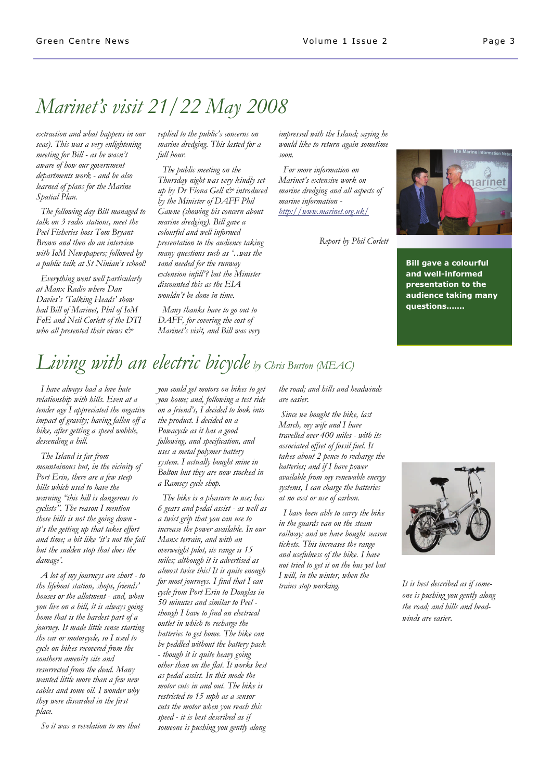### *Marinet's visit 21/22 May 2008*

*extraction and what happens in our seas). This was a very enlightening meeting for Bill - as he wasn't aware of how our government departments work - and he also learned of plans for the Marine Spatial Plan.* 

 *The following day Bill managed to talk on 3 radio stations, meet the Peel Fisheries boss Tom Bryant-Brown and then do an interview with IoM Newspapers; followed by a public talk at St Ninian's school!* 

 *Everything went well particularly at Manx Radio where Dan Davies's 'Talking Heads' show had Bill of Marinet, Phil of IoM FoE and Neil Corlett of the DTI who all presented their views &* 

*replied to the public's concerns on marine dredging. This lasted for a full hour.* 

 *The public meeting on the Thursday night was very kindly set up by Dr Fiona Gell & introduced by the Minister of DAFF Phil Gawne (showing his concern about marine dredging). Bill gave a colourful and well informed presentation to the audience taking many questions such as '…was the sand needed for the runway extension infill'? but the Minister discounted this as the EIA wouldn't be done in time.* 

 *Many thanks have to go out to DAFF, for covering the cost of Marinet's visit, and Bill was very* 

*impressed with the Island; saying he would like to return again sometime soon.* 

 *For more information on Marinet's extensive work on marine dredging and all aspects of marine information <http://www.marinet.org.uk/>*

*Report by Phil Corlett* 



**Bill gave a colourful and well-informed presentation to the audience taking many questions…….** 

### *Living with an electric bicycle by Chris Burton (MEAC)*

 *I have always had a love hate relationship with hills. Even at a tender age I appreciated the negative impact of gravity; having fallen off a bike, after getting a speed wobble, descending a hill.* 

 *The Island is far from mountainous but, in the vicinity of Port Erin, there are a few steep hills which used to have the warning "this hill is dangerous to cyclists". The reason I mention these hills is not the going down it's the getting up that takes effort and time; a bit like 'it's not the fall but the sudden stop that does the damage'.* 

 *A lot of my journeys are short - to the lifeboat station, shops, friends' houses or the allotment - and, when you live on a hill, it is always going home that is the hardest part of a journey. It made little sense starting the car or motorcycle, so I used to cycle on bikes recovered from the southern amenity site and resurrected from the dead. Many wanted little more than a few new cables and some oil. I wonder why they were discarded in the first place.* 

 *So it was a revelation to me that* 

*you could get motors on bikes to get you home; and, following a test ride on a friend's, I decided to look into the product. I decided on a Powacycle as it has a good following, and specification, and uses a metal polymer battery system. I actually bought mine in Bolton but they are now stocked in a Ramsey cycle shop.* 

 *The bike is a pleasure to use; has 6 gears and pedal assist - as well as a twist grip that you can use to increase the power available. In our Manx terrain, and with an overweight pilot, its range is 15 miles; although it is advertised as almost twice this! It is quite enough for most journeys. I find that I can cycle from Port Erin to Douglas in 50 minutes and similar to Peel though I have to find an electrical outlet in which to recharge the batteries to get home. The bike can be peddled without the battery pack - though it is quite heavy going other than on the flat. It works best as pedal assist. In this mode the motor cuts in and out. The bike is restricted to 15 mph as a sensor cuts the motor when you reach this speed - it is best described as if someone is pushing you gently along* 

*the road; and hills and headwinds are easier.* 

 *Since we bought the bike, last March, my wife and I have travelled over 400 miles - with its associated offset of fossil fuel. It takes about 2 pence to recharge the batteries; and if I have power available from my renewable energy systems, I can charge the batteries at no cost or use of carbon.* 

 *I have been able to carry the bike in the guards van on the steam railway; and we have bought season tickets. This increases the range and usefulness of the bike. I have not tried to get it on the bus yet but I will, in the winter, when the trains stop working.* 



*It is best described as if someone is pushing you gently along the road; and hills and headwinds are easier.*